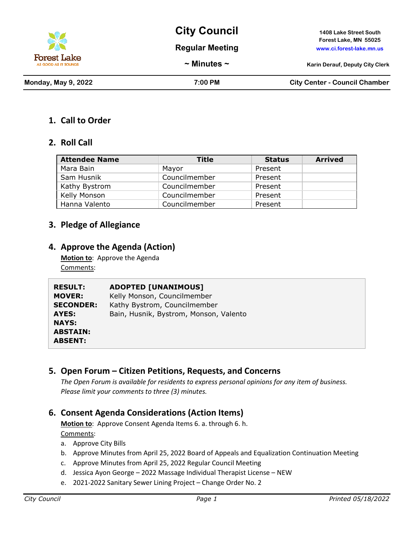

**City Council 1408 Lake Street South**

**Regular Meeting www.ci.forest-lake.mn.us**

**Forest Lake, MN 55025**

**~ Minutes ~ Karin Derauf, Deputy City Clerk**

**Monday, May 9, 2022 7:00 PM City Center - Council Chamber**

### **1. Call to Order**

### **2. Roll Call**

| <b>Attendee Name</b> | Title         | <b>Status</b> | <b>Arrived</b> |
|----------------------|---------------|---------------|----------------|
| Mara Bain            | Mavor         | Present       |                |
| Sam Husnik           | Councilmember | Present       |                |
| Kathy Bystrom        | Councilmember | Present       |                |
| Kelly Monson         | Councilmember | Present       |                |
| Hanna Valento        | Councilmember | Present       |                |

# **3. Pledge of Allegiance**

### **4. Approve the Agenda (Action)**

**Motion to**: Approve the Agenda Comments:

| <b>RESULT:</b>   | <b>ADOPTED [UNANIMOUS]</b>             |
|------------------|----------------------------------------|
| <b>MOVER:</b>    | Kelly Monson, Councilmember            |
| <b>SECONDER:</b> | Kathy Bystrom, Councilmember           |
| <b>AYES:</b>     | Bain, Husnik, Bystrom, Monson, Valento |
| <b>NAYS:</b>     |                                        |
| <b>ABSTAIN:</b>  |                                        |
| <b>ABSENT:</b>   |                                        |

# **5. Open Forum – Citizen Petitions, Requests, and Concerns**

*The Open Forum is available for residents to express personal opinions for any item of business. Please limit your comments to three (3) minutes.*

# **6. Consent Agenda Considerations (Action Items)**

**Motion to**: Approve Consent Agenda Items 6. a. through 6. h. Comments:

- a. Approve City Bills
- b. Approve Minutes from April 25, 2022 Board of Appeals and Equalization Continuation Meeting
- c. Approve Minutes from April 25, 2022 Regular Council Meeting
- d. Jessica Ayon George 2022 Massage Individual Therapist License NEW
- e. 2021-2022 Sanitary Sewer Lining Project Change Order No. 2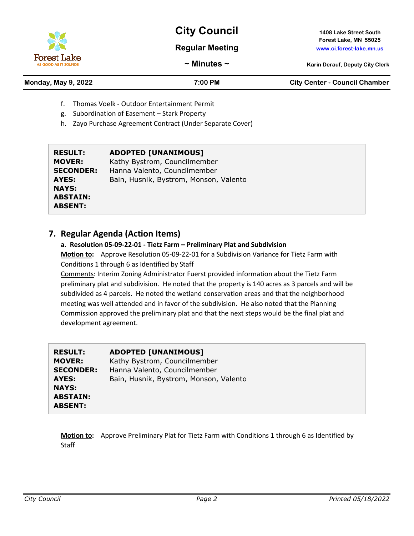

**Forest Lake** AS GOOD AS IT SOI

# **City Council 1408 Lake Street South**

### **Regular Meeting www.ci.forest-lake.mn.us**

**Forest Lake, MN 55025**

**~ Minutes ~ Karin Derauf, Deputy City Clerk**

# **Monday, May 9, 2022 7:00 PM City Center - Council Chamber**

- f. Thomas Voelk Outdoor Entertainment Permit
- g. Subordination of Easement Stark Property
- h. Zayo Purchase Agreement Contract (Under Separate Cover)

| <b>ADOPTED [UNANIMOUS]</b><br>Kathy Bystrom, Councilmember<br><b>MOVER:</b><br>Hanna Valento, Councilmember<br><b>SECONDER:</b><br>Bain, Husnik, Bystrom, Monson, Valento<br>AYES:<br><b>NAYS:</b><br><b>ABSTAIN:</b><br><b>ABSENT:</b> | <b>RESULT:</b> |
|-----------------------------------------------------------------------------------------------------------------------------------------------------------------------------------------------------------------------------------------|----------------|
|-----------------------------------------------------------------------------------------------------------------------------------------------------------------------------------------------------------------------------------------|----------------|

# **7. Regular Agenda (Action Items)**

**a. Resolution 05-09-22-01 - Tietz Farm – Preliminary Plat and Subdivision Motion to:** Approve Resolution 05-09-22-01 for a Subdivision Variance for Tietz Farm with Conditions 1 through 6 as Identified by Staff

Comments: Interim Zoning Administrator Fuerst provided information about the Tietz Farm preliminary plat and subdivision. He noted that the property is 140 acres as 3 parcels and will be subdivided as 4 parcels. He noted the wetland conservation areas and that the neighborhood meeting was well attended and in favor of the subdivision. He also noted that the Planning Commission approved the preliminary plat and that the next steps would be the final plat and development agreement.

| <b>RESULT:</b>   | <b>ADOPTED [UNANIMOUS]</b>             |
|------------------|----------------------------------------|
| <b>MOVER:</b>    | Kathy Bystrom, Councilmember           |
| <b>SECONDER:</b> | Hanna Valento, Councilmember           |
| AYES:            | Bain, Husnik, Bystrom, Monson, Valento |
| <b>NAYS:</b>     |                                        |
| <b>ABSTAIN:</b>  |                                        |
| <b>ABSENT:</b>   |                                        |

**Motion to:** Approve Preliminary Plat for Tietz Farm with Conditions 1 through 6 as Identified by **Staff**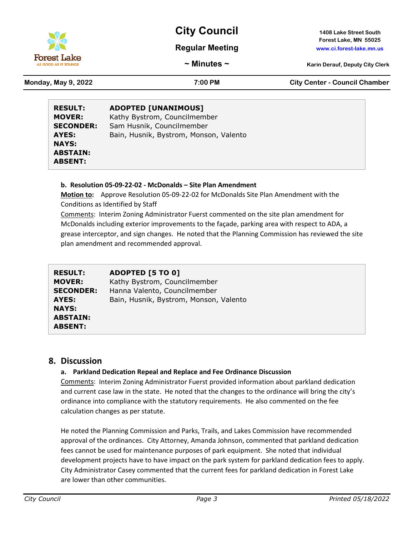

**Forest Lake, MN 55025**

#### **Regular Meeting www.ci.forest-lake.mn.us**

**~ Minutes ~ Karin Derauf, Deputy City Clerk**

Forest Lake

**Monday, May 9, 2022 7:00 PM City Center - Council Chamber**

| <b>RESULT:</b>   | <b>ADOPTED [UNANIMOUS]</b>             |
|------------------|----------------------------------------|
| <b>MOVER:</b>    | Kathy Bystrom, Councilmember           |
| <b>SECONDER:</b> | Sam Husnik, Councilmember              |
| AYES:            | Bain, Husnik, Bystrom, Monson, Valento |
| <b>NAYS:</b>     |                                        |
| <b>ABSTAIN:</b>  |                                        |
| <b>ABSENT:</b>   |                                        |

#### **b. Resolution 05-09-22-02 - McDonalds – Site Plan Amendment**

**Motion to:** Approve Resolution 05-09-22-02 for McDonalds Site Plan Amendment with the Conditions as Identified by Staff

Comments: Interim Zoning Administrator Fuerst commented on the site plan amendment for McDonalds including exterior improvements to the façade, parking area with respect to ADA, a grease interceptor, and sign changes. He noted that the Planning Commission has reviewed the site plan amendment and recommended approval.

| <b>RESULT:</b>   | ADOPTED [5 TO 0]                       |
|------------------|----------------------------------------|
| <b>MOVER:</b>    | Kathy Bystrom, Councilmember           |
| <b>SECONDER:</b> | Hanna Valento, Councilmember           |
| AYES:            | Bain, Husnik, Bystrom, Monson, Valento |
| <b>NAYS:</b>     |                                        |
| <b>ABSTAIN:</b>  |                                        |
| <b>ABSENT:</b>   |                                        |

### **8. Discussion**

#### **a. Parkland Dedication Repeal and Replace and Fee Ordinance Discussion**

Comments: Interim Zoning Administrator Fuerst provided information about parkland dedication and current case law in the state. He noted that the changes to the ordinance will bring the city's ordinance into compliance with the statutory requirements. He also commented on the fee calculation changes as per statute.

He noted the Planning Commission and Parks, Trails, and Lakes Commission have recommended approval of the ordinances. City Attorney, Amanda Johnson, commented that parkland dedication fees cannot be used for maintenance purposes of park equipment. She noted that individual development projects have to have impact on the park system for parkland dedication fees to apply. City Administrator Casey commented that the current fees for parkland dedication in Forest Lake are lower than other communities.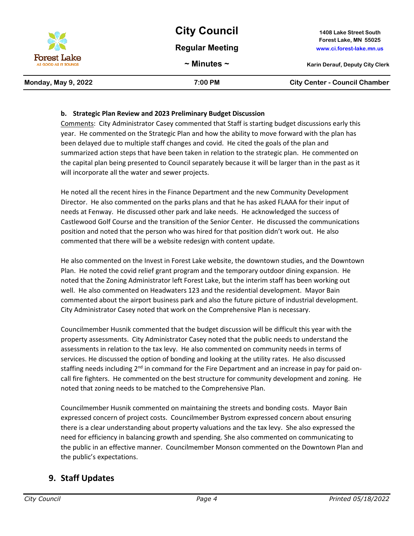

#### **b. Strategic Plan Review and 2023 Preliminary Budget Discussion**

Comments: City Administrator Casey commented that Staff is starting budget discussions early this year. He commented on the Strategic Plan and how the ability to move forward with the plan has been delayed due to multiple staff changes and covid. He cited the goals of the plan and summarized action steps that have been taken in relation to the strategic plan. He commented on the capital plan being presented to Council separately because it will be larger than in the past as it will incorporate all the water and sewer projects.

He noted all the recent hires in the Finance Department and the new Community Development Director. He also commented on the parks plans and that he has asked FLAAA for their input of needs at Fenway. He discussed other park and lake needs. He acknowledged the success of Castlewood Golf Course and the transition of the Senior Center. He discussed the communications position and noted that the person who was hired for that position didn't work out. He also commented that there will be a website redesign with content update.

He also commented on the Invest in Forest Lake website, the downtown studies, and the Downtown Plan. He noted the covid relief grant program and the temporary outdoor dining expansion. He noted that the Zoning Administrator left Forest Lake, but the interim staff has been working out well. He also commented on Headwaters 123 and the residential development. Mayor Bain commented about the airport business park and also the future picture of industrial development. City Administrator Casey noted that work on the Comprehensive Plan is necessary.

Councilmember Husnik commented that the budget discussion will be difficult this year with the property assessments. City Administrator Casey noted that the public needs to understand the assessments in relation to the tax levy. He also commented on community needs in terms of services. He discussed the option of bonding and looking at the utility rates. He also discussed staffing needs including  $2<sup>nd</sup>$  in command for the Fire Department and an increase in pay for paid oncall fire fighters. He commented on the best structure for community development and zoning. He noted that zoning needs to be matched to the Comprehensive Plan.

Councilmember Husnik commented on maintaining the streets and bonding costs. Mayor Bain expressed concern of project costs. Councilmember Bystrom expressed concern about ensuring there is a clear understanding about property valuations and the tax levy. She also expressed the need for efficiency in balancing growth and spending. She also commented on communicating to the public in an effective manner. Councilmember Monson commented on the Downtown Plan and the public's expectations.

# **9. Staff Updates**